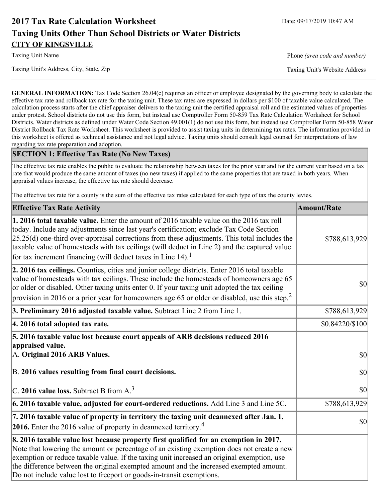# **2017 Tax Rate Calculation Worksheet** Date: 09/17/2019 10:47 AM **Taxing Units Other Than School Districts or Water Districts CITY OF KINGSVILLE**

Taxing Unit Name **Phone** *(area code and number)* Phone *(area code and number)* 

**GENERAL INFORMATION:** Tax Code Section 26.04(c) requires an officer or employee designated by the governing body to calculate the effective tax rate and rollback tax rate for the taxing unit. These tax rates are expressed in dollars per \$100 of taxable value calculated. The calculation process starts after the chief appraiser delivers to the taxing unit the certified appraisal roll and the estimated values of properties under protest. School districts do not use this form, but instead use Comptroller Form 50-859 Tax Rate Calculation Worksheet for School Districts. Water districts as defined under Water Code Section 49.001(1) do not use this form, but instead use Comptroller Form 50-858 Water District Rollback Tax Rate Worksheet. This worksheet is provided to assist taxing units in determining tax rates. The information provided in this worksheet is offered as technical assistance and not legal advice. Taxing units should consult legal counsel for interpretations of law regarding tax rate preparation and adoption.

## **SECTION 1: Effective Tax Rate (No New Taxes)**

The effective tax rate enables the public to evaluate the relationship between taxes for the prior year and for the current year based on a tax rate that would produce the same amount of taxes (no new taxes) if applied to the same properties that are taxed in both years. When appraisal values increase, the effective tax rate should decrease.

The effective tax rate for a county is the sum of the effective tax rates calculated for each type of tax the county levies.

| <b>Effective Tax Rate Activity</b>                                                                                                                                                                                                                                                                                                                                                                                                                                             | <b>Amount/Rate</b> |
|--------------------------------------------------------------------------------------------------------------------------------------------------------------------------------------------------------------------------------------------------------------------------------------------------------------------------------------------------------------------------------------------------------------------------------------------------------------------------------|--------------------|
| <b>1. 2016 total taxable value.</b> Enter the amount of 2016 taxable value on the 2016 tax roll<br>today. Include any adjustments since last year's certification; exclude Tax Code Section<br>$[25.25(d)$ one-third over-appraisal corrections from these adjustments. This total includes the<br>taxable value of homesteads with tax ceilings (will deduct in Line 2) and the captured value<br>for tax increment financing (will deduct taxes in Line $14$ ). <sup>1</sup> | \$788,613,929      |
| 2. 2016 tax ceilings. Counties, cities and junior college districts. Enter 2016 total taxable<br>value of homesteads with tax ceilings. These include the homesteads of homeowners age 65<br>or older or disabled. Other taxing units enter 0. If your taxing unit adopted the tax ceiling<br>provision in 2016 or a prior year for homeowners age 65 or older or disabled, use this step. <sup>2</sup>                                                                        | 30                 |
| 3. Preliminary 2016 adjusted taxable value. Subtract Line 2 from Line 1.                                                                                                                                                                                                                                                                                                                                                                                                       | \$788,613,929      |
| 4. 2016 total adopted tax rate.                                                                                                                                                                                                                                                                                                                                                                                                                                                | \$0.84220/\$100    |
| 5. 2016 taxable value lost because court appeals of ARB decisions reduced 2016<br>appraised value.<br>A. Original 2016 ARB Values.                                                                                                                                                                                                                                                                                                                                             | $ 10\rangle$       |
| B. 2016 values resulting from final court decisions.                                                                                                                                                                                                                                                                                                                                                                                                                           | 30                 |
| C. 2016 value loss. Subtract B from $A3$                                                                                                                                                                                                                                                                                                                                                                                                                                       | 30                 |
| 6. 2016 taxable value, adjusted for court-ordered reductions. Add Line 3 and Line 5C.                                                                                                                                                                                                                                                                                                                                                                                          | \$788,613,929      |
| 7. 2016 taxable value of property in territory the taxing unit deannexed after Jan. 1,<br><b>2016.</b> Enter the 2016 value of property in deannexed territory. <sup>4</sup>                                                                                                                                                                                                                                                                                                   | $ 10\rangle$       |
| 8. 2016 taxable value lost because property first qualified for an exemption in 2017.<br>Note that lowering the amount or percentage of an existing exemption does not create a new<br>exemption or reduce taxable value. If the taxing unit increased an original exemption, use<br>the difference between the original exempted amount and the increased exempted amount.<br>Do not include value lost to freeport or goods-in-transit exemptions.                           |                    |

Taxing Unit's Address, City, State, Zip Taxing Unit's Website Address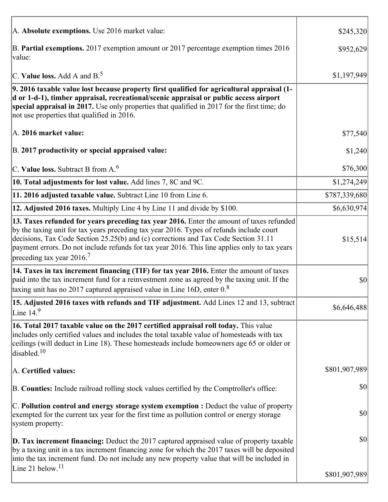| A. Absolute exemptions. Use 2016 market value:                                                                                                                                                                                                                                                                                                                                                                         | \$245,320     |
|------------------------------------------------------------------------------------------------------------------------------------------------------------------------------------------------------------------------------------------------------------------------------------------------------------------------------------------------------------------------------------------------------------------------|---------------|
| B. Partial exemptions. 2017 exemption amount or 2017 percentage exemption times 2016<br>value:                                                                                                                                                                                                                                                                                                                         | \$952,629     |
| C. Value loss. Add A and $B^5$ .                                                                                                                                                                                                                                                                                                                                                                                       | \$1,197,949   |
| 9. 2016 taxable value lost because property first qualified for agricultural appraisal (1-<br>d or 1-d-1), timber appraisal, recreational/scenic appraisal or public access airport<br>special appraisal in 2017. Use only properties that qualified in 2017 for the first time; do<br>not use properties that qualified in 2016.                                                                                      |               |
| A. 2016 market value:                                                                                                                                                                                                                                                                                                                                                                                                  | \$77,540      |
| B. 2017 productivity or special appraised value:                                                                                                                                                                                                                                                                                                                                                                       | \$1,240       |
| C. Value loss. Subtract B from $A6$                                                                                                                                                                                                                                                                                                                                                                                    | \$76,300      |
| 10. Total adjustments for lost value. Add lines 7, 8C and 9C.                                                                                                                                                                                                                                                                                                                                                          | \$1,274,249   |
| 11. 2016 adjusted taxable value. Subtract Line 10 from Line 6.                                                                                                                                                                                                                                                                                                                                                         | \$787,339,680 |
| 12. Adjusted 2016 taxes. Multiply Line 4 by Line 11 and divide by \$100.                                                                                                                                                                                                                                                                                                                                               | \$6,630,974]  |
| 13. Taxes refunded for years preceding tax year 2016. Enter the amount of taxes refunded<br>by the taxing unit for tax years preceding tax year 2016. Types of refunds include court<br>decisions, Tax Code Section 25.25(b) and (c) corrections and Tax Code Section 31.11<br>payment errors. Do not include refunds for tax year 2016. This line applies only to tax years<br>preceding tax year $2016$ <sup>7</sup> | \$15,514      |
| 14. Taxes in tax increment financing (TIF) for tax year 2016. Enter the amount of taxes<br>paid into the tax increment fund for a reinvestment zone as agreed by the taxing unit. If the<br>taxing unit has no 2017 captured appraised value in Line 16D, enter $0.8$                                                                                                                                                  | \$0           |
| 15. Adjusted 2016 taxes with refunds and TIF adjustment. Add Lines 12 and 13, subtract<br>Line $149$                                                                                                                                                                                                                                                                                                                   | \$6,646,488   |
| 16. Total 2017 taxable value on the 2017 certified appraisal roll today. This value<br>includes only certified values and includes the total taxable value of homesteads with tax<br>ceilings (will deduct in Line 18). These homesteads include homeowners age 65 or older or<br>disabled. $10$                                                                                                                       |               |
| A. Certified values:                                                                                                                                                                                                                                                                                                                                                                                                   | \$801,907,989 |
| B. Counties: Include railroad rolling stock values certified by the Comptroller's office:                                                                                                                                                                                                                                                                                                                              | \$0           |
| $ C$ . Pollution control and energy storage system exemption : Deduct the value of property<br>exempted for the current tax year for the first time as pollution control or energy storage<br>system property:                                                                                                                                                                                                         | \$0           |
| <b>D. Tax increment financing:</b> Deduct the 2017 captured appraised value of property taxable<br>by a taxing unit in a tax increment financing zone for which the 2017 taxes will be deposited<br>into the tax increment fund. Do not include any new property value that will be included in                                                                                                                        | \$0           |
| Line 21 below. <sup>11</sup>                                                                                                                                                                                                                                                                                                                                                                                           | \$801,907,989 |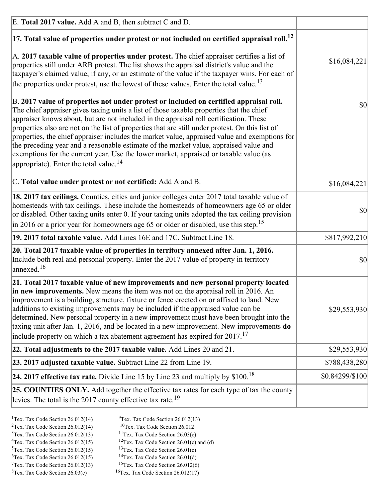| E. Total 2017 value. Add A and B, then subtract C and D.                                                                                                                                                                                                                                                                                                                                                                                                                                                                                                                                                                                                                                                                 |                 |
|--------------------------------------------------------------------------------------------------------------------------------------------------------------------------------------------------------------------------------------------------------------------------------------------------------------------------------------------------------------------------------------------------------------------------------------------------------------------------------------------------------------------------------------------------------------------------------------------------------------------------------------------------------------------------------------------------------------------------|-----------------|
| $ 17$ . Total value of properties under protest or not included on certified appraisal roll. $^{12}$                                                                                                                                                                                                                                                                                                                                                                                                                                                                                                                                                                                                                     |                 |
| A. 2017 taxable value of properties under protest. The chief appraiser certifies a list of<br>properties still under ARB protest. The list shows the appraisal district's value and the<br>taxpayer's claimed value, if any, or an estimate of the value if the taxpayer wins. For each of<br>the properties under protest, use the lowest of these values. Enter the total value. <sup>13</sup>                                                                                                                                                                                                                                                                                                                         | \$16,084,221    |
| B. 2017 value of properties not under protest or included on certified appraisal roll.<br>The chief appraiser gives taxing units a list of those taxable properties that the chief<br>appraiser knows about, but are not included in the appraisal roll certification. These<br>properties also are not on the list of properties that are still under protest. On this list of<br>properties, the chief appraiser includes the market value, appraised value and exemptions for<br>the preceding year and a reasonable estimate of the market value, appraised value and<br>exemptions for the current year. Use the lower market, appraised or taxable value (as<br>appropriate). Enter the total value. <sup>14</sup> | 30              |
| C. Total value under protest or not certified: Add A and B.                                                                                                                                                                                                                                                                                                                                                                                                                                                                                                                                                                                                                                                              | \$16,084,221    |
| 18. 2017 tax ceilings. Counties, cities and junior colleges enter 2017 total taxable value of<br>homesteads with tax ceilings. These include the homesteads of homeowners age 65 or older<br>or disabled. Other taxing units enter 0. If your taxing units adopted the tax ceiling provision<br>in 2016 or a prior year for homeowners age 65 or older or disabled, use this step. <sup>15</sup>                                                                                                                                                                                                                                                                                                                         | 30              |
| 19. 2017 total taxable value. Add Lines 16E and 17C. Subtract Line 18.                                                                                                                                                                                                                                                                                                                                                                                                                                                                                                                                                                                                                                                   | \$817,992,210   |
| 20. Total 2017 taxable value of properties in territory annexed after Jan. 1, 2016.<br>Include both real and personal property. Enter the 2017 value of property in territory<br>annexed. <sup>16</sup>                                                                                                                                                                                                                                                                                                                                                                                                                                                                                                                  | $ 10\rangle$    |
| 21. Total 2017 taxable value of new improvements and new personal property located<br>in new improvements. New means the item was not on the appraisal roll in 2016. An<br>improvement is a building, structure, fixture or fence erected on or affixed to land. New<br>additions to existing improvements may be included if the appraised value can be<br>determined. New personal property in a new improvement must have been brought into the<br>taxing unit after Jan. 1, 2016, and be located in a new improvement. New improvements do<br>include property on which a tax abatement agreement has expired for $2017$ . <sup>17</sup>                                                                             | \$29,553,930    |
| [22. Total adjustments to the 2017 taxable value. Add Lines 20 and 21.                                                                                                                                                                                                                                                                                                                                                                                                                                                                                                                                                                                                                                                   | \$29,553,930    |
| 23. 2017 adjusted taxable value. Subtract Line 22 from Line 19.                                                                                                                                                                                                                                                                                                                                                                                                                                                                                                                                                                                                                                                          | \$788,438,280   |
| 24. 2017 effective tax rate. Divide Line 15 by Line 23 and multiply by $$100$ . <sup>18</sup>                                                                                                                                                                                                                                                                                                                                                                                                                                                                                                                                                                                                                            | \$0.84299/\$100 |
| 25. COUNTIES ONLY. Add together the effective tax rates for each type of tax the county<br>levies. The total is the 2017 county effective tax rate. <sup>19</sup>                                                                                                                                                                                                                                                                                                                                                                                                                                                                                                                                                        |                 |

- <sup>2</sup>Tex. Tax Code Section 26.012(14)
- <sup>1</sup>Tex. Tax Code Section 26.012(14) <sup>9</sup>Tex. Tax Code Section 26.012(13) <sup>9</sup>Tex. Tax Code Section 26.012
	-
- <sup>3</sup>Tex. Tax Code Section 26.012(13) <sup>11</sup>Tex. Tax Code Section 26.03(c) <sup>4</sup>Tex. Tax Code Section 26.01(c) and <sup>12</sup>Tex. Tax Code Section 26.01(c) and <sup>12</sup>Tex. Tax Code Section 26.01(c) and <sup>12</sup>Tex. Tax Code Section 26.01(c) <sup>12</sup>Tex. Tax Code Section 26.01(c) and (d)
- 
- 
- <sup>5</sup>Tex. Tax Code Section 26.012(15) <sup>13</sup>Tex. Tax Code Section 26.01(c) <sup>6</sup>Tex. Tax Code Section 26.01(d)
- <sup>6</sup>Tex. Tax Code Section 26.012(15) <sup>14</sup>Tex. Tax Code Section 26.01(d)<sup>7</sup>Tex. Tax Code Section 26.012(6)
- $7$ Tex. Tax Code Section 26.012(13)  ${}^{8}$ Tex. Tax Code Section 26.03(c)  ${}^{16}$ Tex. Tax Code Section 26.012(17)
	- -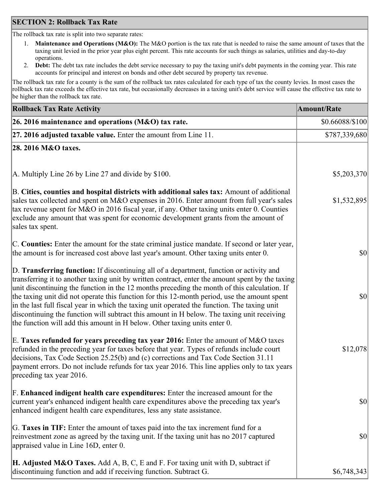## **SECTION 2: Rollback Tax Rate**

The rollback tax rate is split into two separate rates:

- 1. **Maintenance and Operations (M&O):** The M&O portion is the tax rate that is needed to raise the same amount of taxes that the taxing unit levied in the prior year plus eight percent. This rate accounts for such things as salaries, utilities and day-to-day operations.
- 2. **Debt:** The debt tax rate includes the debt service necessary to pay the taxing unit's debt payments in the coming year. This rate accounts for principal and interest on bonds and other debt secured by property tax revenue.

The rollback tax rate for a county is the sum of the rollback tax rates calculated for each type of tax the county levies. In most cases the rollback tax rate exceeds the effective tax rate, but occasionally decreases in a taxing unit's debt service will cause the effective tax rate to be higher than the rollback tax rate.

| <b>Rollback Tax Rate Activity</b>                                                                                                                                                                                                                                                                                                                                                                                                                                                                                                                                                                                                                                       | <b>Amount/Rate</b> |
|-------------------------------------------------------------------------------------------------------------------------------------------------------------------------------------------------------------------------------------------------------------------------------------------------------------------------------------------------------------------------------------------------------------------------------------------------------------------------------------------------------------------------------------------------------------------------------------------------------------------------------------------------------------------------|--------------------|
| 26. 2016 maintenance and operations ( $M&O$ ) tax rate.                                                                                                                                                                                                                                                                                                                                                                                                                                                                                                                                                                                                                 | \$0.66088/\$100    |
| $ 27.2016$ adjusted taxable value. Enter the amount from Line 11.                                                                                                                                                                                                                                                                                                                                                                                                                                                                                                                                                                                                       | \$787,339,680      |
| 28. 2016 M&O taxes.                                                                                                                                                                                                                                                                                                                                                                                                                                                                                                                                                                                                                                                     |                    |
|                                                                                                                                                                                                                                                                                                                                                                                                                                                                                                                                                                                                                                                                         |                    |
| A. Multiply Line 26 by Line 27 and divide by \$100.                                                                                                                                                                                                                                                                                                                                                                                                                                                                                                                                                                                                                     | \$5,203,370        |
| B. Cities, counties and hospital districts with additional sales tax: Amount of additional<br>sales tax collected and spent on M&O expenses in 2016. Enter amount from full year's sales<br>tax revenue spent for M&O in 2016 fiscal year, if any. Other taxing units enter 0. Counties<br>exclude any amount that was spent for economic development grants from the amount of<br>sales tax spent.                                                                                                                                                                                                                                                                     | \$1,532,895        |
| C. Counties: Enter the amount for the state criminal justice mandate. If second or later year,<br>the amount is for increased cost above last year's amount. Other taxing units enter 0.                                                                                                                                                                                                                                                                                                                                                                                                                                                                                | \$0                |
| D. Transferring function: If discontinuing all of a department, function or activity and<br>transferring it to another taxing unit by written contract, enter the amount spent by the taxing<br>unit discontinuing the function in the 12 months preceding the month of this calculation. If<br>the taxing unit did not operate this function for this 12-month period, use the amount spent<br>in the last full fiscal year in which the taxing unit operated the function. The taxing unit<br>discontinuing the function will subtract this amount in H below. The taxing unit receiving<br>the function will add this amount in H below. Other taxing units enter 0. | \$0                |
| E. Taxes refunded for years preceding tax year 2016: Enter the amount of M&O taxes<br>refunded in the preceding year for taxes before that year. Types of refunds include court<br>decisions, Tax Code Section 25.25(b) and (c) corrections and Tax Code Section 31.11<br>payment errors. Do not include refunds for tax year 2016. This line applies only to tax years<br>preceding tax year 2016.                                                                                                                                                                                                                                                                     | \$12,078           |
| F. Enhanced indigent health care expenditures: Enter the increased amount for the<br>current year's enhanced indigent health care expenditures above the preceding tax year's<br>enhanced indigent health care expenditures, less any state assistance.                                                                                                                                                                                                                                                                                                                                                                                                                 | $ 10\rangle$       |
| G. Taxes in TIF: Enter the amount of taxes paid into the tax increment fund for a<br>reinvestment zone as agreed by the taxing unit. If the taxing unit has no 2017 captured<br>appraised value in Line 16D, enter 0.                                                                                                                                                                                                                                                                                                                                                                                                                                                   | \$0                |
| <b>H. Adjusted M&amp;O Taxes.</b> Add A, B, C, E and F. For taxing unit with D, subtract if<br>discontinuing function and add if receiving function. Subtract G.                                                                                                                                                                                                                                                                                                                                                                                                                                                                                                        | \$6,748,343        |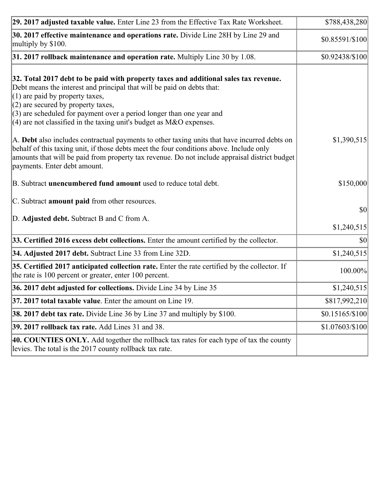| 29. 2017 adjusted taxable value. Enter Line 23 from the Effective Tax Rate Worksheet.                                                                                                                                                                                                                                                                                                          | \$788,438,280       |
|------------------------------------------------------------------------------------------------------------------------------------------------------------------------------------------------------------------------------------------------------------------------------------------------------------------------------------------------------------------------------------------------|---------------------|
| 30. 2017 effective maintenance and operations rate. Divide Line 28H by Line 29 and<br>multiply by \$100.                                                                                                                                                                                                                                                                                       | \$0.85591/\$100     |
| $31.2017$ rollback maintenance and operation rate. Multiply Line 30 by 1.08.                                                                                                                                                                                                                                                                                                                   | \$0.92438/\$100     |
| 32. Total 2017 debt to be paid with property taxes and additional sales tax revenue.<br>Debt means the interest and principal that will be paid on debts that:<br>$(1)$ are paid by property taxes,<br>$(2)$ are secured by property taxes,<br>$(3)$ are scheduled for payment over a period longer than one year and<br>$(4)$ are not classified in the taxing unit's budget as M&O expenses. |                     |
| A. Debt also includes contractual payments to other taxing units that have incurred debts on<br>behalf of this taxing unit, if those debts meet the four conditions above. Include only<br>amounts that will be paid from property tax revenue. Do not include appraisal district budget<br>payments. Enter debt amount.                                                                       | \$1,390,515         |
| B. Subtract unencumbered fund amount used to reduce total debt.                                                                                                                                                                                                                                                                                                                                | \$150,000           |
| C. Subtract amount paid from other resources.                                                                                                                                                                                                                                                                                                                                                  |                     |
| D. Adjusted debt. Subtract B and C from A.                                                                                                                                                                                                                                                                                                                                                     | \$0 <br>\$1,240,515 |
| 33. Certified 2016 excess debt collections. Enter the amount certified by the collector.                                                                                                                                                                                                                                                                                                       | $ 10\rangle$        |
| 34. Adjusted 2017 debt. Subtract Line 33 from Line 32D.                                                                                                                                                                                                                                                                                                                                        | \$1,240,515         |
| 35. Certified 2017 anticipated collection rate. Enter the rate certified by the collector. If<br>the rate is 100 percent or greater, enter 100 percent.                                                                                                                                                                                                                                        | 100.00%             |
| 36. 2017 debt adjusted for collections. Divide Line 34 by Line 35                                                                                                                                                                                                                                                                                                                              | \$1,240,515         |
| $37.2017$ total taxable value. Enter the amount on Line 19.                                                                                                                                                                                                                                                                                                                                    | \$817,992,210       |
| <b>38. 2017 debt tax rate.</b> Divide Line 36 by Line 37 and multiply by \$100.                                                                                                                                                                                                                                                                                                                | $$0.15165/\$100$    |
| <b>39. 2017 rollback tax rate.</b> Add Lines 31 and 38.                                                                                                                                                                                                                                                                                                                                        | \$1.07603/\$100     |
| 40. COUNTIES ONLY. Add together the rollback tax rates for each type of tax the county<br>levies. The total is the 2017 county rollback tax rate.                                                                                                                                                                                                                                              |                     |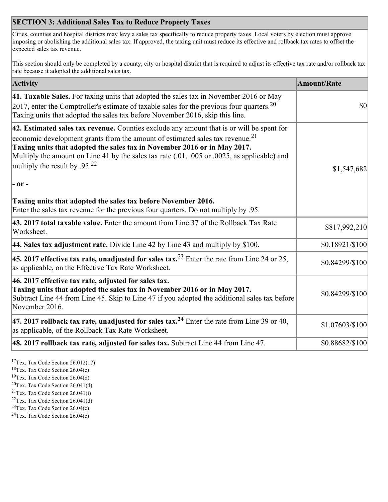## **SECTION 3: Additional Sales Tax to Reduce Property Taxes**

Cities, counties and hospital districts may levy a sales tax specifically to reduce property taxes. Local voters by election must approve imposing or abolishing the additional sales tax. If approved, the taxing unit must reduce its effective and rollback tax rates to offset the expected sales tax revenue.

This section should only be completed by a county, city or hospital district that is required to adjust its effective tax rate and/or rollback tax rate because it adopted the additional sales tax.

| <b>Activity</b>                                                                                                                                                                                                                                                                                                                                                                                                 | <b>Amount/Rate</b> |
|-----------------------------------------------------------------------------------------------------------------------------------------------------------------------------------------------------------------------------------------------------------------------------------------------------------------------------------------------------------------------------------------------------------------|--------------------|
| 41. Taxable Sales. For taxing units that adopted the sales tax in November 2016 or May<br>[2017, enter the Comptroller's estimate of taxable sales for the previous four quarters. <sup>20</sup><br>Taxing units that adopted the sales tax before November 2016, skip this line.                                                                                                                               | $\vert$ so $\vert$ |
| 42. Estimated sales tax revenue. Counties exclude any amount that is or will be spent for<br>economic development grants from the amount of estimated sales tax revenue. <sup>21</sup><br>Taxing units that adopted the sales tax in November 2016 or in May 2017.<br>Multiply the amount on Line 41 by the sales tax rate (.01, .005 or .0025, as applicable) and<br>multiply the result by .95. <sup>22</sup> | \$1,547,682        |
| $ -$ or $-$                                                                                                                                                                                                                                                                                                                                                                                                     |                    |
| Taxing units that adopted the sales tax before November 2016.<br>Enter the sales tax revenue for the previous four quarters. Do not multiply by .95.                                                                                                                                                                                                                                                            |                    |
| 43. 2017 total taxable value. Enter the amount from Line 37 of the Rollback Tax Rate<br>Worksheet.                                                                                                                                                                                                                                                                                                              | \$817,992,210      |
| 44. Sales tax adjustment rate. Divide Line 42 by Line 43 and multiply by $$100$ .                                                                                                                                                                                                                                                                                                                               | \$0.18921/\$100    |
| 45. 2017 effective tax rate, unadjusted for sales tax. <sup>23</sup> Enter the rate from Line 24 or 25,<br>as applicable, on the Effective Tax Rate Worksheet.                                                                                                                                                                                                                                                  | \$0.84299/\$100    |
| 46. 2017 effective tax rate, adjusted for sales tax.<br>Taxing units that adopted the sales tax in November 2016 or in May 2017.<br>Subtract Line 44 from Line 45. Skip to Line 47 if you adopted the additional sales tax before<br>November 2016.                                                                                                                                                             | \$0.84299/\$100    |
| 47. 2017 rollback tax rate, unadjusted for sales tax. <sup>24</sup> Enter the rate from Line 39 or 40,<br>as applicable, of the Rollback Tax Rate Worksheet.                                                                                                                                                                                                                                                    | \$1.07603/\$100    |
| $ 48.2017$ rollback tax rate, adjusted for sales tax. Subtract Line 44 from Line 47.                                                                                                                                                                                                                                                                                                                            | \$0.88682/\$100    |

<sup>17</sup>Tex. Tax Code Section 26.012(17)

<sup>18</sup>Tex. Tax Code Section 26.04(c)

<sup>19</sup>Tex. Tax Code Section 26.04(d)

<sup>20</sup>Tex. Tax Code Section 26.041(d)

- $21$ Tex. Tax Code Section 26.041(i)
- <sup>22</sup>Tex. Tax Code Section 26.041(d)
- <sup>23</sup>Tex. Tax Code Section  $26.04(c)$

<sup>24</sup>Tex. Tax Code Section  $26.04(c)$